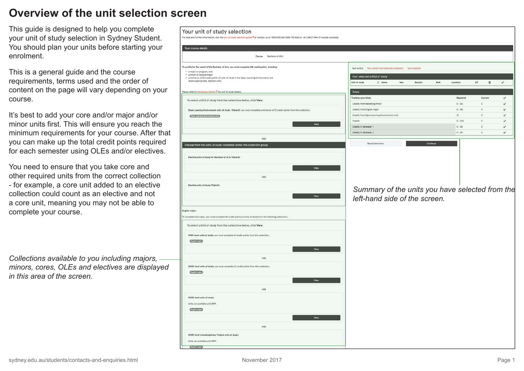### **Overview of the unit selection screen**

This guide is designed to help you complete your unit of study selection in Sydney Student. You should plan your units before starting your enrolment.

This is a general guide and the course requirements, terms used and the order of content on the page will vary depending on your course.

It's best to add your core and/or major and/or minor units first. This will ensure you reach the minimum requirements for your course. After that you can make up the total credit points required for each semester using OLEs and/or electives.

You need to ensure that you take core and other required units from the correct collection - for example, a core unit added to an elective collection could count as an elective and not a core unit, meaning you may not be able to complete your course.

*Collections available to you including majors, minors, cores, OLEs and electives are displayed in this area of the screen.*

| For help and further information, visit the unit of study selection guide <sup>6</sup> or contact us on 1800 SYD UNI (1800 793 864) or +61 2 8627 1444 (If outside Australia).     |                                                                   |                       |                              |
|------------------------------------------------------------------------------------------------------------------------------------------------------------------------------------|-------------------------------------------------------------------|-----------------------|------------------------------|
| Your course details                                                                                                                                                                |                                                                   |                       |                              |
| Course Bachelor of Arts                                                                                                                                                            |                                                                   |                       |                              |
| To qualify for the award of the Bachelor of Arts, you must complete 144 credit points, including:                                                                                  |                                                                   |                       |                              |
| · a major or program; and                                                                                                                                                          | Your unit(s) Your unit(s) from selected collection Your credit(s) |                       |                              |
| · a minor or second major<br>. a minimum of 12 credit points of units of study in the Open Learning Environment; and                                                               | Your selected unit(s) of study                                    |                       |                              |
| where appropriate, elective units.                                                                                                                                                 | Unit of study<br>IL Name<br>Session<br>Year                       | MoA<br>Location<br>CP | п<br>$\checkmark$            |
| Please refer to Handbooks Online C for unit of study details.                                                                                                                      | Totals                                                            |                       |                              |
|                                                                                                                                                                                    | <b>Tracking your totals</b>                                       | Required              | Current<br>$\checkmark$      |
| To select unit(s) of study from the collections below, click View.                                                                                                                 | Credits from Marketing minor                                      | $0 - 36$              | $\Omega$<br>$\checkmark$     |
| Open Learning Environment units of study (Table O): you must complete a minimum of 12 credit points from this collection.                                                          | Credits from English major                                        | $0 - 48$              | $\circ$<br>✔                 |
| Open Learning Environment units                                                                                                                                                    | Credits from Open Learning Environment units                      | $12^\circ$            | $\mathbf{O}$<br>✓            |
| View                                                                                                                                                                               | Credits                                                           | $0 - 144$             | $^\circ$<br>$\checkmark$     |
|                                                                                                                                                                                    | Credits in Semester 1                                             | $0 - 24$              | $\mathsf{O}$<br>$\checkmark$ |
|                                                                                                                                                                                    | Credits in Semester 2                                             | $0 - 24$              | $\circ$<br>$\checkmark$      |
| AND                                                                                                                                                                                |                                                                   |                       |                              |
| Choose from the units of study contained within this collection group                                                                                                              | <b>Reset Selections</b>                                           | Continue              |                              |
|                                                                                                                                                                                    |                                                                   |                       |                              |
| Elective units of study for Bachelor of Arts (Table A):                                                                                                                            |                                                                   |                       |                              |
| View                                                                                                                                                                               |                                                                   |                       |                              |
|                                                                                                                                                                                    |                                                                   |                       |                              |
| AND                                                                                                                                                                                |                                                                   |                       |                              |
| Elective units of study (Table S):                                                                                                                                                 |                                                                   |                       |                              |
|                                                                                                                                                                                    | Summary of the units you have selected from the                   |                       |                              |
| View                                                                                                                                                                               | left-hand side of the screen.                                     |                       |                              |
|                                                                                                                                                                                    |                                                                   |                       |                              |
| English major:                                                                                                                                                                     |                                                                   |                       |                              |
|                                                                                                                                                                                    |                                                                   |                       |                              |
|                                                                                                                                                                                    |                                                                   |                       |                              |
|                                                                                                                                                                                    |                                                                   |                       |                              |
| To complete this major, you must complete 48 credit points of units of study from the following collections.<br>To select unit(s) of study from the collections below, click View. |                                                                   |                       |                              |
| 1000-level units of study: you must complete 12 credit points from this collection.                                                                                                |                                                                   |                       |                              |
| <b>English mejor</b>                                                                                                                                                               |                                                                   |                       |                              |
| View                                                                                                                                                                               |                                                                   |                       |                              |
|                                                                                                                                                                                    |                                                                   |                       |                              |
| AND                                                                                                                                                                                |                                                                   |                       |                              |
| 2000-level units of study: you must complete 12 credit points from this collection.                                                                                                |                                                                   |                       |                              |
| <b>English major</b>                                                                                                                                                               |                                                                   |                       |                              |
| View                                                                                                                                                                               |                                                                   |                       |                              |
|                                                                                                                                                                                    |                                                                   |                       |                              |
| AND                                                                                                                                                                                |                                                                   |                       |                              |
| 3000-level units of study:                                                                                                                                                         |                                                                   |                       |                              |
| Units not available until 2019.                                                                                                                                                    |                                                                   |                       |                              |
| English major                                                                                                                                                                      |                                                                   |                       |                              |
| View                                                                                                                                                                               |                                                                   |                       |                              |
|                                                                                                                                                                                    |                                                                   |                       |                              |
| AND                                                                                                                                                                                |                                                                   |                       |                              |
| 3000-level Interdisciplinary Project units of study:                                                                                                                               |                                                                   |                       |                              |
| Units not available until 2019.                                                                                                                                                    |                                                                   |                       |                              |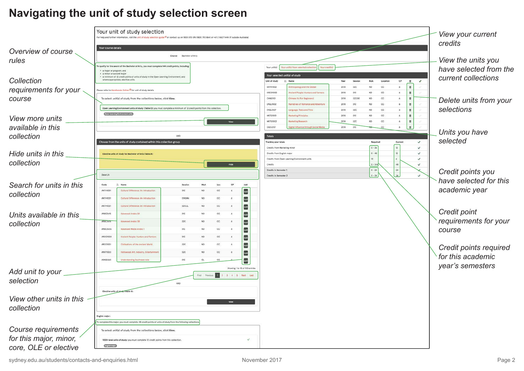## **Navigating the unit of study selection screen**

|                          |                                                        | Your unit of study selection<br>For help and further information, visit the unit of study selection guide <sup>05</sup> or contact us on 1800 SYD UNI (1800 793 864) or +61 2 8627 1444 (if outside Australia). |                         |                 |            |                 |                                |                                              |                                                                 |              |                                   |                      |             |                      |                                | View your current<br>credits |
|--------------------------|--------------------------------------------------------|-----------------------------------------------------------------------------------------------------------------------------------------------------------------------------------------------------------------|-------------------------|-----------------|------------|-----------------|--------------------------------|----------------------------------------------|-----------------------------------------------------------------|--------------|-----------------------------------|----------------------|-------------|----------------------|--------------------------------|------------------------------|
| Overview of course       | Your course details                                    |                                                                                                                                                                                                                 |                         |                 |            |                 |                                |                                              |                                                                 |              |                                   |                      |             |                      |                                |                              |
|                          |                                                        |                                                                                                                                                                                                                 | Course Bachelor of Arts |                 |            |                 |                                |                                              |                                                                 |              |                                   |                      |             |                      |                                | View the units you           |
| rules                    |                                                        | qualify for the award of the Bachelor of Arts, you must complete 144 credit points, including                                                                                                                   |                         |                 |            |                 |                                | Your unit(s)                                 | Your unit(s) from selected collection Your credit(s)            |              |                                   |                      |             |                      |                                |                              |
|                          | · a major or program; and<br>· a minor or second major |                                                                                                                                                                                                                 |                         |                 |            |                 |                                |                                              | Your selected unit(s) of study                                  |              |                                   |                      |             |                      |                                | have selected from the       |
| Collection               |                                                        | . a minimum of 12 credit points of units of study in the Open Learning Environment; and<br>where appropriate, elective units.                                                                                   |                         |                 |            |                 |                                | Unit of study                                | Il. Name                                                        | Year         |                                   | <b>MoA</b>           | Location    | CP                   | $\checkmark$<br>$\blacksquare$ | current collections          |
| requirements for your    |                                                        | ease refer to Handbooks Online <sup>Of</sup> for unit of study details                                                                                                                                          |                         |                 |            |                 |                                | ANTH1002                                     | thropology and the Global                                       | 2018         | 520                               | ND                   | cc          | $\ddot{\phantom{a}}$ | $\scriptstyle\rm II$           |                              |
| course                   |                                                        | To select unit(s) of study from the collections below, click View                                                                                                                                               |                         |                 |            |                 |                                | ARCO1000<br>CHNSTION                         | inclent People: Hunters and Farmer<br>hinese 1A (For Beginners) | 2018<br>2018 | <b>S1C</b><br>S <sub>2</sub> CIDE | ND.<br>ND            | CC<br>cc    | $\delta$<br>6        | $\blacksquare$<br>價            |                              |
|                          |                                                        |                                                                                                                                                                                                                 |                         |                 |            |                 |                                | ENGL1002                                     | arratives of Romance and Adventure                              | 2018         | S1C                               | ND                   | $_{\rm CC}$ | $6 - 6$              | $\blacksquare$                 | Delete units from your       |
|                          |                                                        | Open Learning Environment units of study (Table OI: you must complete a minimum of 12 credit points from this collection<br>Open Learning Environment units                                                     |                         |                 |            |                 |                                | <b>ENGL1007</b>                              | anguage, Texts and Time                                         | 2018         | \$20                              | ND                   | cc          | 6                    | $\mathbf{u}$                   | selections                   |
| View more units          |                                                        |                                                                                                                                                                                                                 |                         |                 |            | View            |                                | <b>MKTG1001</b><br>MKTG1002                  | arketing Principles<br>arketing Research                        | 2018<br>2018 | <b>S1C</b><br>\$20                | ND<br>ND.            | cc<br>cc    | 6<br>6               | $\blacksquare$<br>$\pi$        |                              |
| available in this        |                                                        |                                                                                                                                                                                                                 |                         |                 |            |                 |                                | <b>OLES2107</b>                              | gital Influence through Social Media                            | 2018         | 510                               |                      | cc          | 6                    | $\,$ m $\,$                    |                              |
| collection               |                                                        |                                                                                                                                                                                                                 | AND                     |                 |            |                 |                                | Totals                                       |                                                                 |              |                                   |                      |             |                      |                                | Units you have               |
|                          |                                                        | Choose from the units of study contained within this collection group                                                                                                                                           |                         |                 |            |                 |                                | Tracking your totals                         |                                                                 |              |                                   | Required             |             | Current              | $\checkmark$                   | selected                     |
|                          |                                                        |                                                                                                                                                                                                                 |                         |                 |            |                 |                                | Credits from Marketing mino                  |                                                                 |              |                                   | $0 - 36$<br>$0 - 48$ |             |                      | $\checkmark$<br>$\checkmark$   |                              |
| Hide units in this       |                                                        | Elective units of study for Bachelor of Arts (Table A):                                                                                                                                                         |                         |                 |            |                 |                                | Credits from English majo                    | Credits from Open Learning Environment units                    |              |                                   |                      |             |                      | $\checkmark$                   |                              |
| collection               |                                                        |                                                                                                                                                                                                                 |                         |                 |            | <b>Hide</b>     |                                | Credits                                      |                                                                 |              |                                   | $0 - 144$            |             |                      | $\checkmark$                   |                              |
|                          | Search                                                 |                                                                                                                                                                                                                 |                         |                 |            |                 |                                | Credits in Semester<br>Credits in Semester 2 |                                                                 |              |                                   | $0 - 24$<br>$0 - 24$ |             | 24                   | $\checkmark$                   | Credit points you            |
|                          |                                                        |                                                                                                                                                                                                                 |                         |                 |            |                 |                                |                                              |                                                                 |              |                                   |                      |             |                      |                                | have selected for this       |
| Search for units in this | Code<br><b>ANTH1001</b>                                | Cultural Difference: An Introduction                                                                                                                                                                            | S1C                     | <b>ND</b>       | Loc<br>CC. | CP<br>$\Lambda$ | Add                            |                                              |                                                                 |              |                                   |                      |             |                      |                                | academic year                |
| collection               | <b>ANTH1001</b>                                        | Cultural Difference: An Introduction                                                                                                                                                                            | 51N5MA                  | ND.             | cc         | 6               | $\Delta x$                     |                                              |                                                                 |              |                                   |                      |             |                      |                                |                              |
|                          | ANTH1001                                               | Cultural Difference: An Introduction                                                                                                                                                                            | S2CUL                   |                 | cc         |                 | $\overline{\phantom{a}}$       |                                              |                                                                 |              |                                   |                      |             |                      |                                |                              |
| Units available in this  | ARBC3615                                               | Advanced Arabic 3A                                                                                                                                                                                              | STC                     | ND.             | cc         |                 | $\overline{\phantom{a}}$       |                                              |                                                                 |              |                                   |                      |             |                      |                                | <b>Credit point</b>          |
|                          | <b>ARBC-5616</b>                                       | Advanced Arabic 38                                                                                                                                                                                              | \$2C                    | <b>ND</b>       | cc         | <b>A</b>        | $\omega$                       |                                              |                                                                 |              |                                   |                      |             |                      |                                | requirements for your        |
| collection               | ARBC3636                                               | Advanced Media Arabic 1                                                                                                                                                                                         | SIC                     | ND.             | cc         | $\sim$          | $\overline{\phantom{a}}$       |                                              |                                                                 |              |                                   |                      |             |                      |                                | course                       |
|                          | ARCO1000                                               | Ancient People: Hunters and Farmer                                                                                                                                                                              | <b>STC</b>              | ND              | cc         | $\ddot{\circ}$  | $\blacksquare$                 |                                              |                                                                 |              |                                   |                      |             |                      |                                |                              |
|                          | ARCO1001                                               | Civilisations of the Ancient World                                                                                                                                                                              | <b>52C</b>              |                 | cc         |                 | $\overline{\phantom{a}}$       |                                              |                                                                 |              |                                   |                      |             |                      |                                |                              |
|                          | <b>ARHT1003</b>                                        | Hollywood: Art, Industry, Entertain                                                                                                                                                                             | \$2C                    |                 | cc         |                 | $\overline{\phantom{a}}$       |                                              |                                                                 |              |                                   |                      |             |                      |                                | Credit points required       |
|                          | ASN52665                                               | <b>Understanding Southeast Asia</b>                                                                                                                                                                             | S1C                     |                 | CC         |                 | Add                            |                                              |                                                                 |              |                                   |                      |             |                      |                                | for this academic            |
|                          |                                                        |                                                                                                                                                                                                                 |                         |                 |            |                 | Showing 1 to 10 of 155 entries |                                              |                                                                 |              |                                   |                      |             |                      |                                | year's semesters             |
| Add unit to your         |                                                        |                                                                                                                                                                                                                 |                         | First<br>Previo |            |                 | 1 2 3 4 5 Next Last            |                                              |                                                                 |              |                                   |                      |             |                      |                                |                              |
| selection                |                                                        |                                                                                                                                                                                                                 | AND                     |                 |            |                 |                                |                                              |                                                                 |              |                                   |                      |             |                      |                                |                              |
|                          |                                                        | Elective units of study (Table S):                                                                                                                                                                              |                         |                 |            |                 |                                |                                              |                                                                 |              |                                   |                      |             |                      |                                |                              |
| View other units in this |                                                        |                                                                                                                                                                                                                 |                         |                 |            |                 |                                |                                              |                                                                 |              |                                   |                      |             |                      |                                |                              |
|                          |                                                        |                                                                                                                                                                                                                 |                         |                 |            | View            |                                |                                              |                                                                 |              |                                   |                      |             |                      |                                |                              |
| collection               |                                                        |                                                                                                                                                                                                                 |                         |                 |            |                 |                                |                                              |                                                                 |              |                                   |                      |             |                      |                                |                              |
|                          | English major:                                         | o complete this major, you must complete 48 credit points of units of study from the following collections                                                                                                      |                         |                 |            |                 |                                |                                              |                                                                 |              |                                   |                      |             |                      |                                |                              |
|                          |                                                        | To select unit(s) of study from the collections below, click View.                                                                                                                                              |                         |                 |            |                 |                                |                                              |                                                                 |              |                                   |                      |             |                      |                                |                              |
| Course requirements      |                                                        |                                                                                                                                                                                                                 |                         |                 |            |                 |                                |                                              |                                                                 |              |                                   |                      |             |                      |                                |                              |
| for this major, minor,   |                                                        | 1000-level units of study: you must complete 12 credit points from this collection.                                                                                                                             |                         |                 |            |                 | ¥                              |                                              |                                                                 |              |                                   |                      |             |                      |                                |                              |
| core, OLE or elective    | English major                                          |                                                                                                                                                                                                                 |                         |                 |            |                 |                                |                                              |                                                                 |              |                                   |                      |             |                      |                                |                              |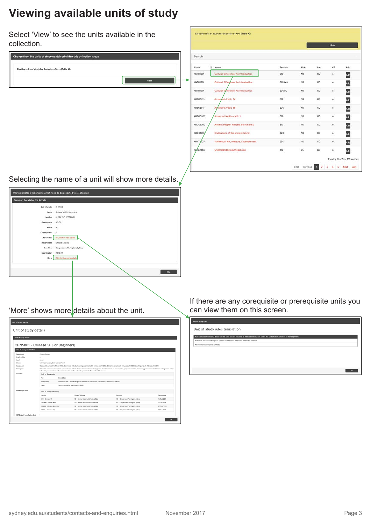## **Viewing available units of study**

Select 'View' to see the units available in the

| collection.                                                           |          |                                         |                  |                                    |             | Hide                 |                                |
|-----------------------------------------------------------------------|----------|-----------------------------------------|------------------|------------------------------------|-------------|----------------------|--------------------------------|
| Choose from the units of study contained within this collection group | Search   |                                         |                  |                                    |             |                      |                                |
| Elective units of study for Bachelor of Arts (Table A):               | Code     | Il Name                                 | Session          | MoA                                | Loc         | CP                   | Add                            |
|                                                                       | ANTH1001 | Cultural Difference: An Introduction    | SIC              | <b>ND</b>                          | $_{\rm CC}$ | 6                    | Add                            |
| View                                                                  | ANTH1001 | Cultural Difference: An Introduction    | <b>SINSMA</b>    | <b>ND</b>                          | cc          | 6                    | Add                            |
|                                                                       | ANTH1001 | Cultural Difference: An Introduction    | S2CIJL           | ND                                 | cc          | 6                    | Add                            |
|                                                                       | ARBC3615 | Advanged Arabic 3A                      | SIC              | <b>ND</b>                          | $_{cc}$     | ó                    | Add                            |
|                                                                       | ARBC3616 | Advanced Arabic 3B                      | S <sub>2</sub> C | <b>ND</b>                          | cc          | $\ddot{\phantom{a}}$ | Add                            |
|                                                                       | ARBC3636 | Advanced Media Arabic 1                 | SIC              | <b>ND</b>                          | $_{\rm cc}$ | 6                    | Add                            |
|                                                                       | ARCO1000 | Ancient People: Hunters and Farmers     | SIC              | ND                                 | cc          | b.                   | Add                            |
|                                                                       | ARCO1001 | Civilisations of the Ancient World      | \$2C             | ND                                 | $_{\rm cc}$ | ô                    | Add                            |
|                                                                       | ARHT1003 | Hollywood: Art, Industry, Entertainment | 52C              | ND                                 | $_{\rm CC}$ | 6                    | Add                            |
|                                                                       | ASNS2665 | <b>Understanding Southeast Asia</b>     | 5NC              | $\alpha$                           | $_{\rm cc}$ | 6                    | Add                            |
|                                                                       |          |                                         |                  |                                    |             |                      | Showing 1 to 10 of 155 entries |
|                                                                       |          |                                         |                  | First Previous 1 2 3 4 5 Next Last |             |                      |                                |

Elective units of study for Bachelor of Arts (Table A):

Selecting the name of a unit will show more details.

| Summary Details for the Module                                                                                                                           |                                                      |                                     |                                                                                                                                                                                                                                                                                                                                    |                                                                          |                            |
|----------------------------------------------------------------------------------------------------------------------------------------------------------|------------------------------------------------------|-------------------------------------|------------------------------------------------------------------------------------------------------------------------------------------------------------------------------------------------------------------------------------------------------------------------------------------------------------------------------------|--------------------------------------------------------------------------|----------------------------|
|                                                                                                                                                          | Unit of study                                        | CHNSTON                             |                                                                                                                                                                                                                                                                                                                                    |                                                                          |                            |
|                                                                                                                                                          |                                                      |                                     |                                                                                                                                                                                                                                                                                                                                    |                                                                          |                            |
|                                                                                                                                                          | Name                                                 | Chinese 1A (For Beginners)          |                                                                                                                                                                                                                                                                                                                                    |                                                                          |                            |
|                                                                                                                                                          | Session                                              | <b>SICIDE INT DECEMBERS</b>         |                                                                                                                                                                                                                                                                                                                                    |                                                                          |                            |
|                                                                                                                                                          | Occurrence                                           | ND-CC                               |                                                                                                                                                                                                                                                                                                                                    |                                                                          |                            |
|                                                                                                                                                          | Mode                                                 | ND.                                 |                                                                                                                                                                                                                                                                                                                                    |                                                                          |                            |
|                                                                                                                                                          | Credit points                                        | -6                                  |                                                                                                                                                                                                                                                                                                                                    |                                                                          |                            |
|                                                                                                                                                          |                                                      |                                     |                                                                                                                                                                                                                                                                                                                                    |                                                                          |                            |
|                                                                                                                                                          | Requisites                                           | Yes, click to view details          |                                                                                                                                                                                                                                                                                                                                    |                                                                          |                            |
|                                                                                                                                                          | Department                                           | Chinese Studies                     |                                                                                                                                                                                                                                                                                                                                    |                                                                          |                            |
|                                                                                                                                                          | Location                                             | Camperdown/Darlington, Sydney       |                                                                                                                                                                                                                                                                                                                                    |                                                                          |                            |
|                                                                                                                                                          | Coordinator                                          | <b>RENE AN</b>                      |                                                                                                                                                                                                                                                                                                                                    |                                                                          |                            |
|                                                                                                                                                          | Nore                                                 | Click to view more details          |                                                                                                                                                                                                                                                                                                                                    |                                                                          |                            |
|                                                                                                                                                          |                                                      |                                     |                                                                                                                                                                                                                                                                                                                                    |                                                                          |                            |
|                                                                                                                                                          |                                                      |                                     |                                                                                                                                                                                                                                                                                                                                    |                                                                          |                            |
|                                                                                                                                                          |                                                      |                                     |                                                                                                                                                                                                                                                                                                                                    |                                                                          |                            |
|                                                                                                                                                          |                                                      |                                     |                                                                                                                                                                                                                                                                                                                                    |                                                                          | OK                         |
|                                                                                                                                                          |                                                      |                                     |                                                                                                                                                                                                                                                                                                                                    |                                                                          |                            |
|                                                                                                                                                          |                                                      |                                     |                                                                                                                                                                                                                                                                                                                                    |                                                                          |                            |
|                                                                                                                                                          |                                                      |                                     |                                                                                                                                                                                                                                                                                                                                    |                                                                          |                            |
|                                                                                                                                                          |                                                      |                                     |                                                                                                                                                                                                                                                                                                                                    |                                                                          |                            |
|                                                                                                                                                          |                                                      |                                     |                                                                                                                                                                                                                                                                                                                                    |                                                                          |                            |
|                                                                                                                                                          |                                                      |                                     |                                                                                                                                                                                                                                                                                                                                    |                                                                          |                            |
|                                                                                                                                                          |                                                      |                                     | 'More' shows more details about the unit.                                                                                                                                                                                                                                                                                          |                                                                          |                            |
|                                                                                                                                                          |                                                      |                                     |                                                                                                                                                                                                                                                                                                                                    |                                                                          |                            |
|                                                                                                                                                          |                                                      |                                     |                                                                                                                                                                                                                                                                                                                                    |                                                                          |                            |
|                                                                                                                                                          |                                                      |                                     |                                                                                                                                                                                                                                                                                                                                    |                                                                          |                            |
|                                                                                                                                                          |                                                      |                                     |                                                                                                                                                                                                                                                                                                                                    |                                                                          |                            |
|                                                                                                                                                          |                                                      |                                     |                                                                                                                                                                                                                                                                                                                                    |                                                                          |                            |
|                                                                                                                                                          |                                                      |                                     |                                                                                                                                                                                                                                                                                                                                    |                                                                          |                            |
|                                                                                                                                                          |                                                      |                                     |                                                                                                                                                                                                                                                                                                                                    |                                                                          |                            |
|                                                                                                                                                          |                                                      |                                     |                                                                                                                                                                                                                                                                                                                                    |                                                                          |                            |
|                                                                                                                                                          | <b>Chinese Studies</b>                               |                                     |                                                                                                                                                                                                                                                                                                                                    |                                                                          |                            |
|                                                                                                                                                          | $\delta$                                             |                                     |                                                                                                                                                                                                                                                                                                                                    |                                                                          |                            |
|                                                                                                                                                          | Jurior<br>tutte lastura/week, futte tutorials/week   |                                     |                                                                                                                                                                                                                                                                                                                                    |                                                                          |                            |
|                                                                                                                                                          |                                                      |                                     | Classwork legulyatent to 100wd (10%), Sept-line or individual learning assignments (30 minutes each) (20%), 2xOral Presentations (3 minutes each) (40%), 2welting projects (1.5hrs each) (30%)                                                                                                                                     |                                                                          |                            |
|                                                                                                                                                          |                                                      |                                     | This unit is an introduction to basic communication skills in Modern Standard Chinese for baginners. Foundation work on pronunciation, pinyin romanisation, wiementary grammar and the Chinese writing system will be<br>followed by conversational drills, comprehension, reading and writing practice in Classwork and homework. |                                                                          |                            |
|                                                                                                                                                          | Unit of Study rules                                  |                                     |                                                                                                                                                                                                                                                                                                                                    |                                                                          |                            |
|                                                                                                                                                          | Type                                                 | Description                         |                                                                                                                                                                                                                                                                                                                                    |                                                                          |                            |
|                                                                                                                                                          | Compulsory                                           |                                     | Prohibition: HSC Chinese Background Speakers or CHNS1201 or CHNS1301 or CHNS1313 or CHNS1321                                                                                                                                                                                                                                       |                                                                          |                            |
|                                                                                                                                                          | Open.                                                | Recommended Co-requisites: CHNS1601 |                                                                                                                                                                                                                                                                                                                                    |                                                                          |                            |
|                                                                                                                                                          |                                                      |                                     |                                                                                                                                                                                                                                                                                                                                    |                                                                          |                            |
| Assessment<br>Description<br>Availability in 2018                                                                                                        | Unit of Study availability                           |                                     |                                                                                                                                                                                                                                                                                                                                    | Locatio                                                                  |                            |
|                                                                                                                                                          | <b>Session</b><br>SIG - Semester 1                   |                                     | ode of defivery<br>ND - Normal Becture/leb/tutorial day                                                                                                                                                                                                                                                                            |                                                                          | Census data                |
|                                                                                                                                                          |                                                      |                                     |                                                                                                                                                                                                                                                                                                                                    | OC - Campendown/Darlington, Sydney                                       | 19/Dct/2017                |
| <b>Department</b><br>Credit points<br>Level<br>Unit rules                                                                                                | SWSMA - Summer Main                                  |                                     | ND - Normal Becture/leb/tutorial day                                                                                                                                                                                                                                                                                               | CC - Campendown/Darlington, Sydney                                       | 17/Jan/2018                |
| Unit of study details<br>Unit of study details<br>Unit of study details<br>CHNS1101 - Chinese 1A (For Beginners)<br>Unit of Study Information<br>Classes | 5200E - Intensive December<br>SZCUL - Intensive July |                                     | ND - Normal Decture/leb/tutorial day<br>ND - Normal Decture/1eb/tutorial) day                                                                                                                                                                                                                                                      | CC - Camperdown/Darlington, Sydney<br>CC - Camperdown/Darlington, Sydney | 07/0ec/2018<br>27/Jul/2017 |

If there are any corequisite or prerequisite units you can view them on this screen.

| Unit of study rules                                                                                                                          |
|----------------------------------------------------------------------------------------------------------------------------------------------|
| Unit of study rules translation                                                                                                              |
| Rule translation CHNS1101 Below are the rules you are required to meet before you can select this unit of study. Chinese 1A if or Beginners) |
| Prohibition: HSC Chinese Background Speakers or CHNS1201 or CHNS1501 or CHNS1515 or CHNS1521                                                 |
| Recommended Co-regulates: CHN31601                                                                                                           |
|                                                                                                                                              |
|                                                                                                                                              |
|                                                                                                                                              |
|                                                                                                                                              |
|                                                                                                                                              |
| $\alpha$                                                                                                                                     |
|                                                                                                                                              |
|                                                                                                                                              |
|                                                                                                                                              |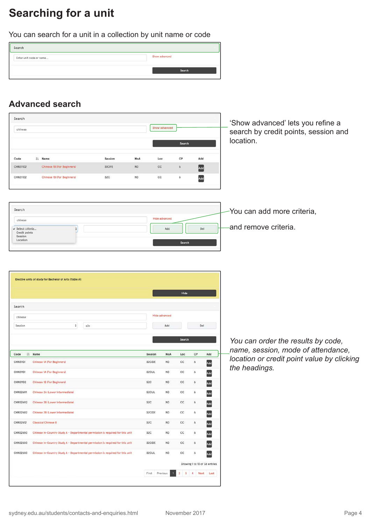# **Searching for a unit**

You can search for a unit in a collection by unit name or code



#### **Advanced search**

| Search                                                                                     |                       |                  |                     |                             |             |                               |     | 'Show advanced' lets you refine a          |
|--------------------------------------------------------------------------------------------|-----------------------|------------------|---------------------|-----------------------------|-------------|-------------------------------|-----|--------------------------------------------|
| chinese                                                                                    |                       |                  |                     | Show advanced               |             |                               |     | search by credit points, session and       |
|                                                                                            |                       |                  |                     |                             | Search      |                               |     | location.                                  |
| ll Name<br>Code                                                                            |                       | Session          | MoA                 | Loc                         | CP          | Add                           |     |                                            |
| <b>Chinese 18 (For Beginners)</b><br><b>CHNS1102</b>                                       |                       | <b>SICIFE</b>    | <b>ND</b>           | cc                          | 6           | Add                           |     |                                            |
| CHNS1102<br>Chinese 1B (For Beginners)                                                     |                       | S <sub>2</sub> C | <b>ND</b>           | cc                          | 6           | Add                           |     |                                            |
|                                                                                            |                       |                  |                     |                             |             |                               |     |                                            |
| Search                                                                                     |                       |                  |                     |                             |             |                               |     | You can add more criteria,                 |
| chinese                                                                                    |                       |                  |                     | <b>Hide advanced</b>        |             |                               |     |                                            |
| √ Select criteria<br>Credit points<br>Session<br>Location                                  | þ                     |                  |                     | Add                         |             | Del                           |     | and remove criteria.                       |
|                                                                                            |                       |                  |                     |                             | Search      |                               |     |                                            |
|                                                                                            |                       |                  |                     |                             |             |                               |     |                                            |
| Elective units of study for Bachelor of Arts (Table A):                                    |                       |                  |                     |                             |             |                               |     |                                            |
|                                                                                            |                       |                  |                     |                             |             |                               |     |                                            |
|                                                                                            |                       |                  |                     |                             | Hide        |                               |     |                                            |
|                                                                                            |                       |                  |                     |                             |             |                               |     |                                            |
| Search                                                                                     |                       |                  |                     |                             |             |                               |     |                                            |
| chinese<br>Session                                                                         |                       |                  |                     | <b>Hide advanced</b><br>Add |             | Del                           |     |                                            |
|                                                                                            | $\ddot{\ast}$<br>\$2c |                  |                     |                             |             |                               |     |                                            |
|                                                                                            |                       |                  |                     |                             | Search      |                               |     | You can order the results by code,         |
| là Name<br>Code                                                                            |                       |                  | Session             | MoA                         | Loc         | CP                            | Add | name, session, mode of attendance,         |
| <b>CHNS1101</b><br><b>Chinese 1A (For Beginners)</b>                                       |                       |                  | S2CIDE              | <b>ND</b>                   | cc          | $\ddot{\phantom{a}}$          | Add | location or credit point value by clicking |
| <b>Chinese 1A (For Beginners)</b><br><b>CHNS1101</b>                                       |                       |                  | S2CIJL              | ND                          | cc          | 6                             | Add | the headings.                              |
| <b>CHNS1102</b><br><b>Chinese 1B (For Beginners)</b>                                       |                       |                  | S <sub>2</sub> C    | <b>ND</b>                   | cc          | 6                             | Add |                                            |
| CHNS2601<br>Chinese 2A (Lower Intermediate)                                                |                       |                  | S <sub>2</sub> CIJL | <b>ND</b>                   | $_{\rm CC}$ | 6                             |     |                                            |
| CHNS2602<br>Chinese 2B (Lower Intermediate)                                                |                       |                  | \$2C                | <b>ND</b>                   | cc          | $\ddot{\phantom{a}}$          | Add |                                            |
| CHNS2602<br>Chinese 2B (Lower Intermediate)                                                |                       |                  | S2CIDE              | <b>ND</b>                   | cc          | 6                             | Add |                                            |
| CHNS2612<br>Classical Chinese B                                                            |                       |                  | S <sub>2</sub> C    | <b>ND</b>                   | cc          | $\ddot{\phantom{a}}$          | Add |                                            |
| CHNS2650<br>Chinese In-Country Study A - Departmental permission is required for this unit |                       |                  | S <sub>2</sub> C    | ND                          | cc          | $\ddot{\phantom{a}}$          | Add |                                            |
| CHNS2650<br>Chinese In-Country Study A - Departmental permission is required for this unit |                       |                  | S2CIDE              | <b>ND</b>                   | cc          | 6                             | Add |                                            |
| CHNS2650<br>Chinese In-Country Study A - Departmental permission is required for this unit |                       |                  | S2CIJL              | ND                          | cc          | 6                             | Add |                                            |
|                                                                                            |                       |                  |                     |                             |             | Showing 1 to 10 of 36 entries |     |                                            |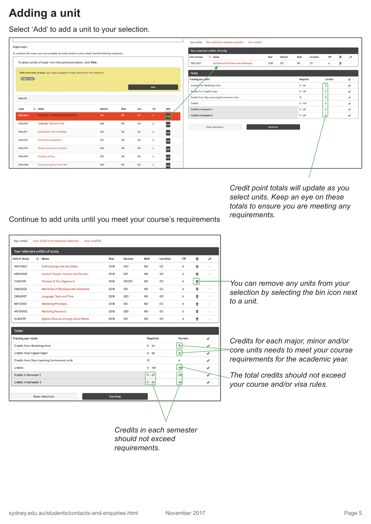## **Adding a unit**

Select 'Add' to add a unit to your selection.

| English major:  |                                                                                                              |            |             |             |                      |     |                              | Your selected unit(s) of study               |          |         |           |          |           |   |              |
|-----------------|--------------------------------------------------------------------------------------------------------------|------------|-------------|-------------|----------------------|-----|------------------------------|----------------------------------------------|----------|---------|-----------|----------|-----------|---|--------------|
|                 | To complete this major, you must complete 48 credit points of units of study from the following collections. |            |             |             |                      |     | Unit of study                | Il Name                                      | Year     | Session | MoA       | Location | CP        | ٠ | $\checkmark$ |
|                 | To select unit(s) of study from the collections below, click View.                                           |            |             |             |                      |     | ENGL1002                     | Narratives of Romance and Adventure          | 2018     | S1C     | ND        | cc       | 6         | п | ×            |
|                 | 1000-level units of study: you must complete 12 credit points from this collection.                          |            |             |             |                      |     | <b>Totals</b>                |                                              |          |         |           |          |           |   |              |
| English major   |                                                                                                              |            |             |             |                      |     | <b>Tracking your totals</b>  |                                              |          |         | Required  |          | Current   |   | $\checkmark$ |
|                 |                                                                                                              |            |             |             | Hide                 |     | Credits from Marketing minor |                                              |          |         | $0 - 36$  |          | $\circ$   |   | v            |
|                 |                                                                                                              |            |             |             |                      |     | Credits from English major   |                                              |          |         | $0 - 48$  |          | $\delta$  |   | $\checkmark$ |
| Search          |                                                                                                              |            |             |             |                      |     |                              | Credits from Open Learning Environment units |          |         | 12        |          | $\Omega$  |   | ✔            |
|                 |                                                                                                              |            |             |             |                      |     | Credits                      |                                              |          |         | $0 - 144$ |          | $\delta$  |   | ✓            |
| Code            | Il Name                                                                                                      | Session    | MoA         | Loc         | CP                   | Add | Credits in Semester 1        |                                              |          |         | $0 - 24$  |          |           |   | $\checkmark$ |
| <b>ENGL1002</b> | Narratives of Romance and Adventure                                                                          | <b>STC</b> | ND.         | <b>cc</b>   | $\ddot{\phantom{a}}$ | Add | Credits in Semester 2        |                                              |          |         | $0 - 24$  |          | $\bullet$ |   | ✓            |
| ENGL1007        | Language, Texts and Time                                                                                     | \$2C       | ND.         | CC.         | $\ddot{\text{o}}$    | Add |                              | <b>Reset Selections</b>                      | Continue |         |           |          |           |   |              |
| <b>ENGL1011</b> | Introduction to Film Studies                                                                                 | <b>S1C</b> | ND.         | CC.         | $\ddot{\text{o}}$    | Add |                              |                                              |          |         |           |          |           |   |              |
| <b>ENGL1012</b> | The Gothic Imagination                                                                                       | S1C        | $_{\rm NO}$ | CC          | s                    | Add |                              |                                              |          |         |           |          |           |   |              |
| <b>ENGL1013</b> | <b>Global Literatures in English</b>                                                                         | \$2C       | ND          | CC.         | 6                    | Add |                              |                                              |          |         |           |          |           |   |              |
| ENGL1014        | <b>Creative Writing</b>                                                                                      | S1C        | ND          | $_{\rm cc}$ | $\delta$             | Add |                              |                                              |          |         |           |          |           |   |              |
| ENGL1026        | Constructing the Fictive Self                                                                                | <b>S2C</b> | ND.         | CC.         | 6                    | Add |                              |                                              |          |         |           |          |           |   |              |

*Credit point totals will update as you select units. Keep an eye on these totals to ensure you are meeting any requirements.*

Continue to add units until you meet your course's requirements

|                              | Ii Name                                      | Year | Session          | MoA       | Location | CP      | ŭ        | ✓                       |
|------------------------------|----------------------------------------------|------|------------------|-----------|----------|---------|----------|-------------------------|
| <b>ANTH1002</b>              | Anthropology and the Global                  | 2018 | S <sub>2</sub> C | <b>ND</b> | CC       | 6       | ŵ        | W.                      |
| <b>ARCO1000</b>              | Ancient People: Hunters and Farmers          | 2018 | S1C              | <b>ND</b> | CC       | 6       | ŵ        | ×                       |
| CHNS1101                     | <b>Chinese 1A (For Beginners)</b>            | 2018 | S2CIDE           | <b>ND</b> | CC       | 6       | Ù        | ×                       |
| <b>ENGL1002</b>              | Narratives of Romance and Adventure          | 2018 | S1C              | <b>ND</b> | cc       | 6       | ŵ        | u                       |
| <b>ENGL1007</b>              | Language, Texts and Time                     | 2018 | S <sub>2</sub> C | <b>ND</b> | CC       | 6       | <b>n</b> | Á.                      |
| <b>MKTG1001</b>              | <b>Marketing Principles</b>                  | 2018 | <b>SIC</b>       | <b>ND</b> | cc       | 6       | ŵ        | Â.                      |
| <b>MKTG1002</b>              | Marketing Research                           | 2018 | \$2C             | <b>ND</b> | cc       | 6       | <b>n</b> | Ň.                      |
| <b>OLES2107</b>              | Digital Influence through Social Media       | 2018 | S1C              | <b>ND</b> | cc       | 6       | n,       | ×.                      |
| <b>Tracking your totals</b>  |                                              |      |                  | Required  |          | Current |          | ✓                       |
|                              |                                              |      |                  | $0 - 36$  |          |         |          |                         |
|                              |                                              |      |                  |           |          | 12      |          | ✔                       |
| Credits from Marketing minor |                                              |      |                  | $0 - 48$  |          | 12      |          | $\overline{\checkmark}$ |
| Credits from English major   |                                              |      |                  |           |          |         |          | ✓                       |
|                              | Credits from Open Learning Environment units |      |                  | 12        |          | 6       |          |                         |
| Credits                      |                                              |      |                  | $0 - 144$ |          | 48      |          | ✓                       |
| Credits in Semester 1        |                                              |      |                  | $0 - 24$  |          | 24      |          | ✓                       |
| Credits in Semester 2        |                                              |      |                  | $0 - 24$  |          | 24      |          | ✓                       |

*You can remove any units from your selection by selecting the bin icon next to a unit.*

*Credits for each major, minor and/or core units needs to meet your course requirements for the academic year.*

*The total credits should not exceed your course and/or visa rules.*

*Credits in each semester should not exceed requirements.*